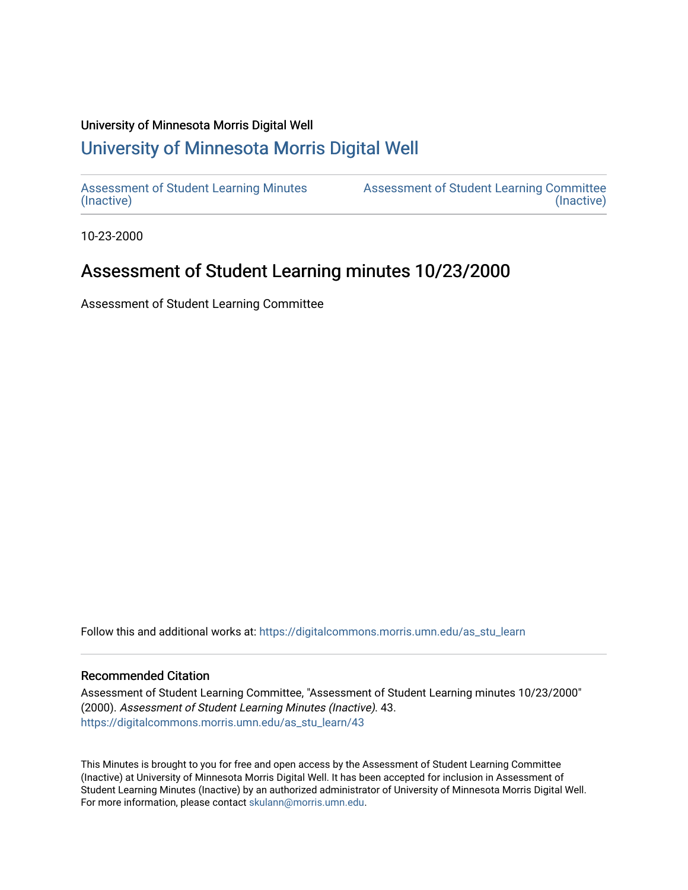#### University of Minnesota Morris Digital Well

# [University of Minnesota Morris Digital Well](https://digitalcommons.morris.umn.edu/)

[Assessment of Student Learning Minutes](https://digitalcommons.morris.umn.edu/as_stu_learn)  [\(Inactive\)](https://digitalcommons.morris.umn.edu/as_stu_learn) 

[Assessment of Student Learning Committee](https://digitalcommons.morris.umn.edu/aslc)  [\(Inactive\)](https://digitalcommons.morris.umn.edu/aslc) 

10-23-2000

# Assessment of Student Learning minutes 10/23/2000

Assessment of Student Learning Committee

Follow this and additional works at: [https://digitalcommons.morris.umn.edu/as\\_stu\\_learn](https://digitalcommons.morris.umn.edu/as_stu_learn?utm_source=digitalcommons.morris.umn.edu%2Fas_stu_learn%2F43&utm_medium=PDF&utm_campaign=PDFCoverPages) 

### Recommended Citation

Assessment of Student Learning Committee, "Assessment of Student Learning minutes 10/23/2000" (2000). Assessment of Student Learning Minutes (Inactive). 43. [https://digitalcommons.morris.umn.edu/as\\_stu\\_learn/43](https://digitalcommons.morris.umn.edu/as_stu_learn/43?utm_source=digitalcommons.morris.umn.edu%2Fas_stu_learn%2F43&utm_medium=PDF&utm_campaign=PDFCoverPages) 

This Minutes is brought to you for free and open access by the Assessment of Student Learning Committee (Inactive) at University of Minnesota Morris Digital Well. It has been accepted for inclusion in Assessment of Student Learning Minutes (Inactive) by an authorized administrator of University of Minnesota Morris Digital Well. For more information, please contact [skulann@morris.umn.edu](mailto:skulann@morris.umn.edu).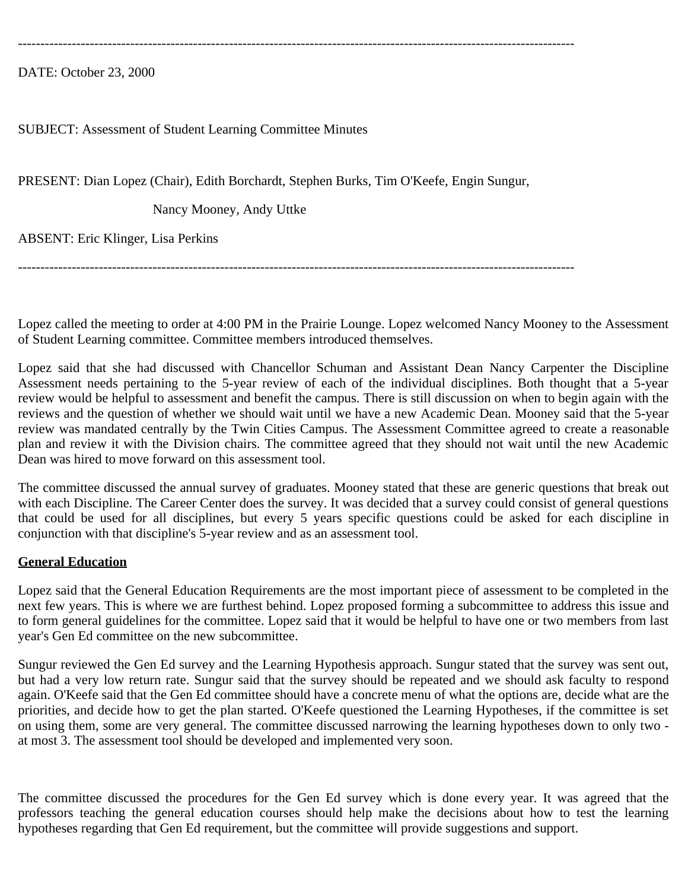----------------------------------------------------------------------------------------------------------------------------

DATE: October 23, 2000

### SUBJECT: Assessment of Student Learning Committee Minutes

PRESENT: Dian Lopez (Chair), Edith Borchardt, Stephen Burks, Tim O'Keefe, Engin Sungur,

Nancy Mooney, Andy Uttke

ABSENT: Eric Klinger, Lisa Perkins

----------------------------------------------------------------------------------------------------------------------------

Lopez called the meeting to order at 4:00 PM in the Prairie Lounge. Lopez welcomed Nancy Mooney to the Assessment of Student Learning committee. Committee members introduced themselves.

Lopez said that she had discussed with Chancellor Schuman and Assistant Dean Nancy Carpenter the Discipline Assessment needs pertaining to the 5-year review of each of the individual disciplines. Both thought that a 5-year review would be helpful to assessment and benefit the campus. There is still discussion on when to begin again with the reviews and the question of whether we should wait until we have a new Academic Dean. Mooney said that the 5-year review was mandated centrally by the Twin Cities Campus. The Assessment Committee agreed to create a reasonable plan and review it with the Division chairs. The committee agreed that they should not wait until the new Academic Dean was hired to move forward on this assessment tool.

The committee discussed the annual survey of graduates. Mooney stated that these are generic questions that break out with each Discipline. The Career Center does the survey. It was decided that a survey could consist of general questions that could be used for all disciplines, but every 5 years specific questions could be asked for each discipline in conjunction with that discipline's 5-year review and as an assessment tool.

#### **General Education**

Lopez said that the General Education Requirements are the most important piece of assessment to be completed in the next few years. This is where we are furthest behind. Lopez proposed forming a subcommittee to address this issue and to form general guidelines for the committee. Lopez said that it would be helpful to have one or two members from last year's Gen Ed committee on the new subcommittee.

Sungur reviewed the Gen Ed survey and the Learning Hypothesis approach. Sungur stated that the survey was sent out, but had a very low return rate. Sungur said that the survey should be repeated and we should ask faculty to respond again. O'Keefe said that the Gen Ed committee should have a concrete menu of what the options are, decide what are the priorities, and decide how to get the plan started. O'Keefe questioned the Learning Hypotheses, if the committee is set on using them, some are very general. The committee discussed narrowing the learning hypotheses down to only two at most 3. The assessment tool should be developed and implemented very soon.

The committee discussed the procedures for the Gen Ed survey which is done every year. It was agreed that the professors teaching the general education courses should help make the decisions about how to test the learning hypotheses regarding that Gen Ed requirement, but the committee will provide suggestions and support.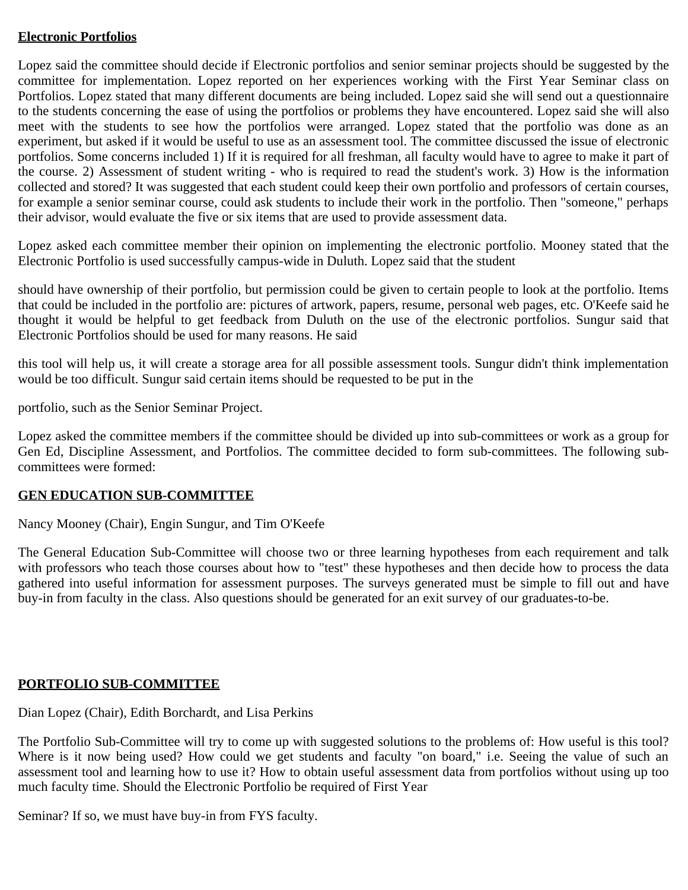## **Electronic Portfolios**

Lopez said the committee should decide if Electronic portfolios and senior seminar projects should be suggested by the committee for implementation. Lopez reported on her experiences working with the First Year Seminar class on Portfolios. Lopez stated that many different documents are being included. Lopez said she will send out a questionnaire to the students concerning the ease of using the portfolios or problems they have encountered. Lopez said she will also meet with the students to see how the portfolios were arranged. Lopez stated that the portfolio was done as an experiment, but asked if it would be useful to use as an assessment tool. The committee discussed the issue of electronic portfolios. Some concerns included 1) If it is required for all freshman, all faculty would have to agree to make it part of the course. 2) Assessment of student writing - who is required to read the student's work. 3) How is the information collected and stored? It was suggested that each student could keep their own portfolio and professors of certain courses, for example a senior seminar course, could ask students to include their work in the portfolio. Then "someone," perhaps their advisor, would evaluate the five or six items that are used to provide assessment data.

Lopez asked each committee member their opinion on implementing the electronic portfolio. Mooney stated that the Electronic Portfolio is used successfully campus-wide in Duluth. Lopez said that the student

should have ownership of their portfolio, but permission could be given to certain people to look at the portfolio. Items that could be included in the portfolio are: pictures of artwork, papers, resume, personal web pages, etc. O'Keefe said he thought it would be helpful to get feedback from Duluth on the use of the electronic portfolios. Sungur said that Electronic Portfolios should be used for many reasons. He said

this tool will help us, it will create a storage area for all possible assessment tools. Sungur didn't think implementation would be too difficult. Sungur said certain items should be requested to be put in the

portfolio, such as the Senior Seminar Project.

Lopez asked the committee members if the committee should be divided up into sub-committees or work as a group for Gen Ed, Discipline Assessment, and Portfolios. The committee decided to form sub-committees. The following subcommittees were formed:

## **GEN EDUCATION SUB-COMMITTEE**

Nancy Mooney (Chair), Engin Sungur, and Tim O'Keefe

The General Education Sub-Committee will choose two or three learning hypotheses from each requirement and talk with professors who teach those courses about how to "test" these hypotheses and then decide how to process the data gathered into useful information for assessment purposes. The surveys generated must be simple to fill out and have buy-in from faculty in the class. Also questions should be generated for an exit survey of our graduates-to-be.

# **PORTFOLIO SUB-COMMITTEE**

Dian Lopez (Chair), Edith Borchardt, and Lisa Perkins

The Portfolio Sub-Committee will try to come up with suggested solutions to the problems of: How useful is this tool? Where is it now being used? How could we get students and faculty "on board," i.e. Seeing the value of such an assessment tool and learning how to use it? How to obtain useful assessment data from portfolios without using up too much faculty time. Should the Electronic Portfolio be required of First Year

Seminar? If so, we must have buy-in from FYS faculty.